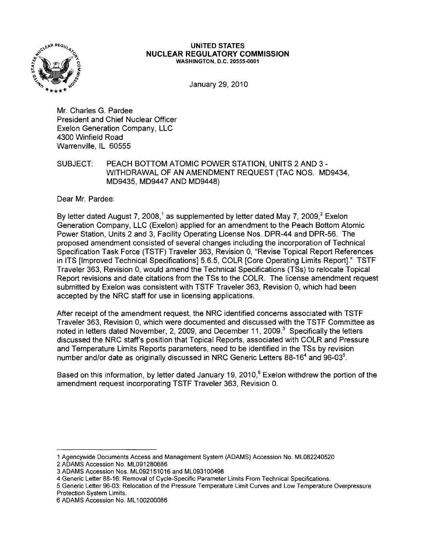

## **UNITED** STATES **NUCLEAR REGULATORY COMMISSION** WASHINGTON, D.C. 20555-0001

January 29, 2010

Mr. Charles G. Pardee President and Chief Nuclear Officer Exelon Generation Company, LLC 4300 Winfield Road Warrenville, IL 60555

SUBJECT: PEACH BOTTOM ATOMIC POWER STATION, UNITS 2 AND 3 -WITHDRAWAL OF AN AMENDMENT REQUEST (TAC NOS. MD9434, MD9435, MD9447 AND MD9448)

Dear Mr. Pardee:

By letter dated August 7, 2008,<sup>1</sup> as supplemented by letter dated May 7, 2009,<sup>2</sup> Exelon Generation Company, LLC (Exelon) applied for an amendment to the Peach Bottom Atomic Power Station, Units 2 and 3, Facility Operating License Nos. DPR-44 and DPR-56. The proposed amendment consisted of several changes including the incorporation of Technical Specification Task Force (TSTF) Traveler 363, Revision 0, "Revise Topical Report References in ITS [Improved Technical Specifications] 5.6.5, COLR [Core Operating Limits Report]." TSTF Traveler 363, Revision 0, would amend the Technical Specifications (TSs) to relocate Topical Report revisions and date citations from the TSs to the COLR. The license amendment request submitted by Exelon was consistent with TSTF Traveler 363, Revision 0, which had been accepted by the NRC staff for use in licensing applications.

After receipt of the amendment request, the NRC identified concerns associated with TSTF Traveler 363, Revision 0, which were documented and discussed with the TSTF Committee as noted in letters dated November, 2, 2009, and December 11, 2009.<sup>3</sup> Specifically the letters discussed the NRC staff's position that Topical Reports, associated with COLR and Pressure and Temperature Limits Reports parameters, need to be identified in the TSs by revision number and/or date as originally discussed in NRC Generic Letters 88-16<sup>4</sup> and 96-03<sup>5</sup>.

Based on this information, by letter dated January 19, 2010, $^6$  Exelon withdrew the portion of the amendment request incorporating TSTF Traveler 363, Revision O.

5 Generic Letter 96-03: Relocation of the Pressure Temperature Limit Curves and Low Temperature Overpressure Protection System Limits.

<sup>1</sup> Agencywide Documents Access and Management System (ADAMS) Accession No. ML082240520

<sup>2</sup> ADAMS Accession No. ML091280686

<sup>3</sup> ADAMS Accession Nos. ML092151016 and ML093100498

<sup>4</sup> Generic Letter 88-16: Removal of Cycle-Specific Parameter Limits From Technical Specifications.

<sup>6</sup> ADAMS Accession No. ML100200086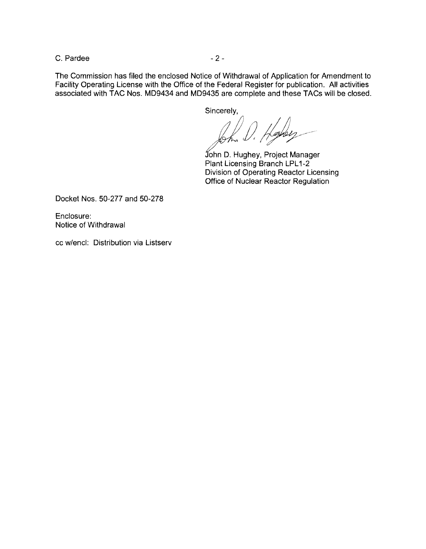C. Pardee  $-2$  -

The Commission has filed the enclosed Notice of Withdrawal of Application for Amendment to Facility Operating License with the Office of the Federal Register for publication. All activities associated with TAC Nos. MD9434 and MD9435 are complete and these TACs will be closed.

Sincerely,

1) Haber

John D. Hughey, Project Manager Plant Licensing Branch LPL1-2 Division of Operating Reactor Licensing Office of Nuclear Reactor Regulation

Docket Nos. 50-277 and 50-278

Enclosure: Notice of Withdrawal

cc w/encl: Distribution via Listserv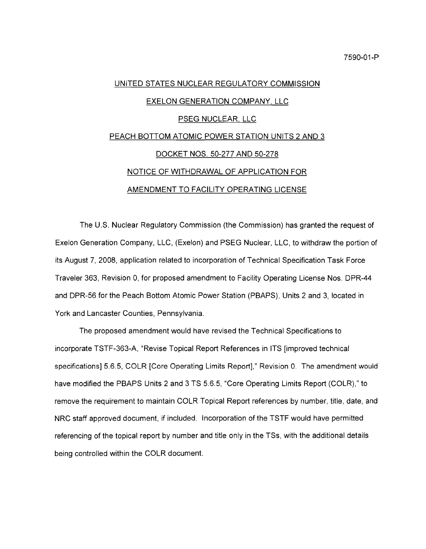## UNITED STATES NUCLEAR REGULATORY COMMISSION EXELON GENERATION COMPANY, LLC PSEG NUCLEAR, LLC PEACH BOTTOM ATOMIC POWER STATION UNITS 2 AND 3 DOCKET NOS. 50-277 AND 50-278 NOTICE OF WITHDRAWAL OF APPLICATION FOR AMENDMENT TO FACILITY OPERATING LICENSE

The U.S. Nuclear Regulatory Commission (the Commission) has granted the request of Exelon Generation Company, LLC, (Exelon) and PSEG Nuclear, LLC, to withdraw the portion of its August 7, 2008, application related to incorporation of Technical Specification Task Force Traveler 363, Revision 0, for proposed amendment to Facility Operating License Nos. DPR-44 and DPR-56 for the Peach Bottom Atomic Power Station (PBAPS), Units 2 and 3, located in York and Lancaster Counties, Pennsylvania.

The proposed amendment would have revised the Technical Specifications to incorporate TSTF-363-A, "Revise Topical Report References in ITS [improved technical specifications] 5.6.5, COLR [Core Operating Limits Report]," Revision 0. The amendment would have modified the PBAPS Units 2 and 3 TS 5.6.5, "Core Operating Limits Report (COLR)," to remove the requirement to maintain COLR Topical Report references by number, title, date, and NRC staff approved document, if included. Incorporation of the TSTF would have permitted referencing of the topical report by number and title only in the TSs, with the additional details being controlled within the COLR document.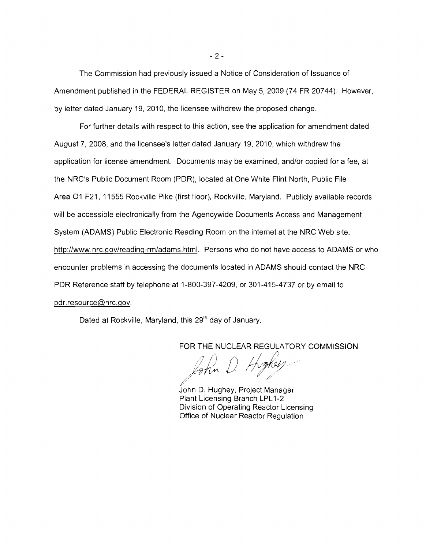The Commission had previously issued a Notice of Consideration of Issuance of Amendment published in the FEDERAL REGISTER on May 5,2009 (74 FR 20744). However, by letter dated January 19, 2010, the licensee withdrew the proposed change.

For further details with respect to this action, see the application for amendment dated August 7, 2008, and the licensee's letter dated January 19, 2010, which withdrew the application for license amendment. Documents may be examined, and/or copied for a fee, at the NRC's Public Document Room (PDR), located at One White Flint North, Public File Area 01 F21, 11555 Rockville Pike (first floor), Rockville, Maryland. Publicly available records will be accessible electronically from the Agencywide Documents Access and Management System (ADAMS) Public Electronic Reading Room on the internet at the NRC Web site, http://www.nrc.gov/reading-rm/adams.html. Persons who do not have access to ADAMS or who encounter problems in accessing the documents located in ADAMS should contact the NRC PDR Reference staff by telephone at 1-800-397-4209, or 301-415-4737 or by email to pdr.resource@nrc.gov.

Dated at Rockville, Maryland, this 29<sup>th</sup> day of January.

FOR THE NUCLEAR REGULATORY COMMISSION<br>*(2) 1 mm () 1 / phel<sub>/</sub>* 

John D. Hughey, Project Manager Plant Licensing Branch LPL1-2 Division of Operating Reactor Licensing Office of Nuclear Reactor Regulation